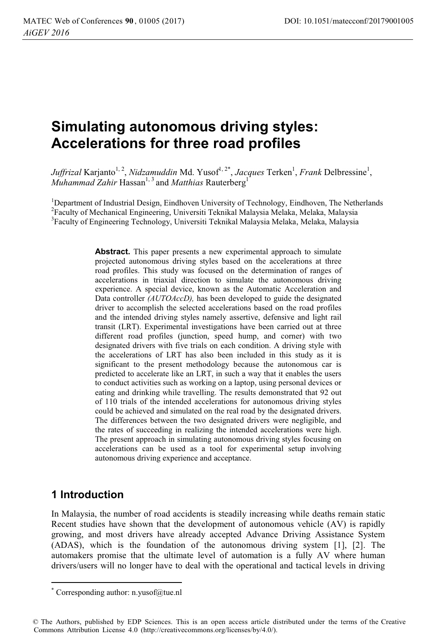# **Simulating autonomous driving styles: Accelerations for three road profiles**

*Juffrizal* Karjanto<sup>1, 2</sup>, *Nidzamuddin* Md. Yusof<sup>t, 2\*</sup>, *Jacques* Terken<sup>1</sup>, *Frank* Delbressine<sup>1</sup>, *Muhammad Zahir* Hassan<sup>1, 3</sup> and *Matthias* Rauterberg<sup>1</sup>

<sup>1</sup>Department of Industrial Design, Eindhoven University of Technology, Eindhoven, The Netherlands<br><sup>2</sup>Eaculty of Mechanical Engineering, Universiti Teknikal Malaysia Malaka, Malaka, Malaysia <sup>2</sup> Faculty of Mechanical Engineering, Universiti Teknikal Malaysia Melaka, Melaka, Malaysia <sup>3</sup>Faculty of Engineering Technology, Universiti Teknikal Malaysia Melaka, Melaka, Malaysia

> **Abstract.** This paper presents a new experimental approach to simulate projected autonomous driving styles based on the accelerations at three road profiles. This study was focused on the determination of ranges of accelerations in triaxial direction to simulate the autonomous driving experience. A special device, known as the Automatic Acceleration and Data controller *(AUTOAccD),* has been developed to guide the designated driver to accomplish the selected accelerations based on the road profiles and the intended driving styles namely assertive, defensive and light rail transit (LRT). Experimental investigations have been carried out at three different road profiles (junction, speed hump, and corner) with two designated drivers with five trials on each condition. A driving style with the accelerations of LRT has also been included in this study as it is significant to the present methodology because the autonomous car is predicted to accelerate like an LRT, in such a way that it enables the users to conduct activities such as working on a laptop, using personal devices or eating and drinking while travelling. The results demonstrated that 92 out of 110 trials of the intended accelerations for autonomous driving styles could be achieved and simulated on the real road by the designated drivers. The differences between the two designated drivers were negligible, and the rates of succeeding in realizing the intended accelerations were high. The present approach in simulating autonomous driving styles focusing on accelerations can be used as a tool for experimental setup involving autonomous driving experience and acceptance.

# **1 Introduction**

 $\overline{a}$ 

In Malaysia, the number of road accidents is steadily increasing while deaths remain static Recent studies have shown that the development of autonomous vehicle (AV) is rapidly growing, and most drivers have already accepted Advance Driving Assistance System (ADAS), which is the foundation of the autonomous driving system [1], [2]. The automakers promise that the ultimate level of automation is a fully AV where human drivers/users will no longer have to deal with the operational and tactical levels in driving

<sup>\*</sup> Corresponding author: n.yusof@tue.nl

<sup>©</sup> The Authors, published by EDP Sciences. This is an open access article distributed under the terms of the Creative Commons Attribution License 4.0 (http://creativecommons.org/licenses/by/4.0/).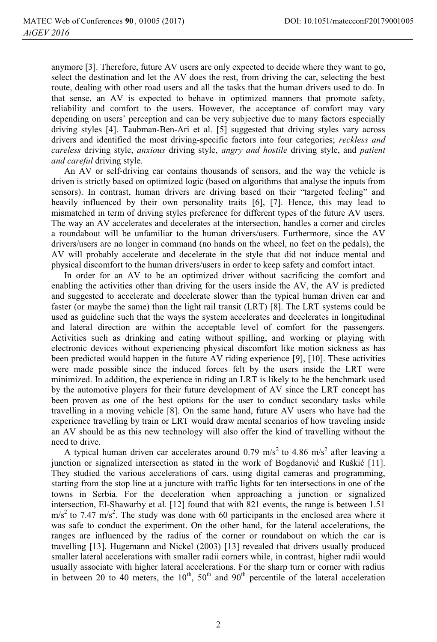anymore [3]. Therefore, future AV users are only expected to decide where they want to go, select the destination and let the AV does the rest, from driving the car, selecting the best route, dealing with other road users and all the tasks that the human drivers used to do. In that sense, an AV is expected to behave in optimized manners that promote safety, reliability and comfort to the users. However, the acceptance of comfort may vary depending on users' perception and can be very subjective due to many factors especially driving styles [4]. Taubman-Ben-Ari et al. [5] suggested that driving styles vary across drivers and identified the most driving-specific factors into four categories; *reckless and careless* driving style, *anxious* driving style, *angry and hostile* driving style, and *patient and careful* driving style.

An AV or self-driving car contains thousands of sensors, and the way the vehicle is driven is strictly based on optimized logic (based on algorithms that analyse the inputs from sensors). In contrast, human drivers are driving based on their "targeted feeling" and heavily influenced by their own personality traits [6], [7]. Hence, this may lead to mismatched in term of driving styles preference for different types of the future AV users. The way an AV accelerates and decelerates at the intersection, handles a corner and circles a roundabout will be unfamiliar to the human drivers/users. Furthermore, since the AV drivers/users are no longer in command (no hands on the wheel, no feet on the pedals), the AV will probably accelerate and decelerate in the style that did not induce mental and physical discomfort to the human drivers/users in order to keep safety and comfort intact.

In order for an AV to be an optimized driver without sacrificing the comfort and enabling the activities other than driving for the users inside the AV, the AV is predicted and suggested to accelerate and decelerate slower than the typical human driven car and faster (or maybe the same) than the light rail transit (LRT) [8]. The LRT systems could be used as guideline such that the ways the system accelerates and decelerates in longitudinal and lateral direction are within the acceptable level of comfort for the passengers. Activities such as drinking and eating without spilling, and working or playing with electronic devices without experiencing physical discomfort like motion sickness as has been predicted would happen in the future AV riding experience [9], [10]. These activities were made possible since the induced forces felt by the users inside the LRT were minimized. In addition, the experience in riding an LRT is likely to be the benchmark used by the automotive players for their future development of AV since the LRT concept has been proven as one of the best options for the user to conduct secondary tasks while travelling in a moving vehicle [8]. On the same hand, future AV users who have had the experience travelling by train or LRT would draw mental scenarios of how traveling inside an AV should be as this new technology will also offer the kind of travelling without the need to drive.

A typical human driven car accelerates around 0.79 m/s<sup>2</sup> to 4.86 m/s<sup>2</sup> after leaving a junction or signalized intersection as stated in the work of Bogdanović and Ruškić [11]. They studied the various accelerations of cars, using digital cameras and programming, starting from the stop line at a juncture with traffic lights for ten intersections in one of the towns in Serbia. For the deceleration when approaching a junction or signalized intersection, El-Shawarby et al. [12] found that with 821 events, the range is between 1.51  $\text{m/s}^2$  to 7.47 m/s<sup>2</sup>. The study was done with 60 participants in the enclosed area where it was safe to conduct the experiment. On the other hand, for the lateral accelerations, the ranges are influenced by the radius of the corner or roundabout on which the car is travelling [13]. Hugemann and Nickel (2003) [13] revealed that drivers usually produced smaller lateral accelerations with smaller radii corners while, in contrast, higher radii would usually associate with higher lateral accelerations. For the sharp turn or corner with radius in between 20 to 40 meters, the  $10^{th}$ ,  $50^{th}$  and  $90^{th}$  percentile of the lateral acceleration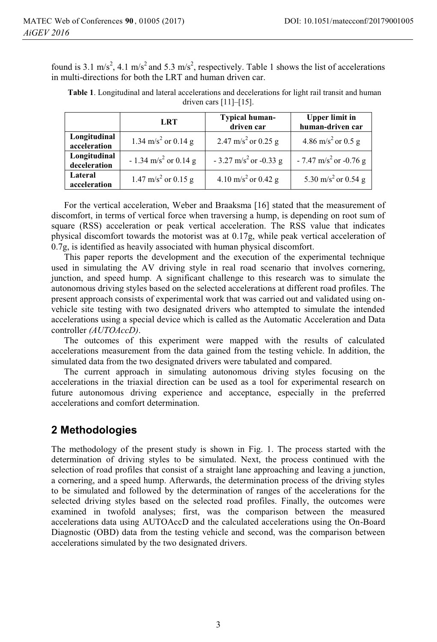found is 3.1 m/s<sup>2</sup>, 4.1 m/s<sup>2</sup> and 5.3 m/s<sup>2</sup>, respectively. Table 1 shows the list of accelerations in multi-directions for both the LRT and human driven car.

|                              | <b>LRT</b>                         | Typical human-<br>driven car          | <b>Upper limit in</b><br>human-driven car |
|------------------------------|------------------------------------|---------------------------------------|-------------------------------------------|
| Longitudinal<br>acceleration | 1.34 m/s <sup>2</sup> or 0.14 g    | 2.47 m/s <sup>2</sup> or 0.25 g       | 4.86 m/s <sup>2</sup> or 0.5 g            |
| Longitudinal<br>deceleration | $-1.34$ m/s <sup>2</sup> or 0.14 g | $-3.27$ m/s <sup>2</sup> or $-0.33$ g | $-7.47$ m/s <sup>2</sup> or $-0.76$ g     |
| Lateral<br>acceleration      | 1.47 m/s <sup>2</sup> or 0.15 g    | 4.10 m/s <sup>2</sup> or 0.42 g       | 5.30 m/s <sup>2</sup> or 0.54 g           |

**Table 1**. Longitudinal and lateral accelerations and decelerations for light rail transit and human driven cars  $[11]–[15]$ .

For the vertical acceleration, Weber and Braaksma [16] stated that the measurement of discomfort, in terms of vertical force when traversing a hump, is depending on root sum of square (RSS) acceleration or peak vertical acceleration. The RSS value that indicates physical discomfort towards the motorist was at 0.17g, while peak vertical acceleration of 0.7g, is identified as heavily associated with human physical discomfort.

This paper reports the development and the execution of the experimental technique used in simulating the AV driving style in real road scenario that involves cornering, junction, and speed hump. A significant challenge to this research was to simulate the autonomous driving styles based on the selected accelerations at different road profiles. The present approach consists of experimental work that was carried out and validated using onvehicle site testing with two designated drivers who attempted to simulate the intended accelerations using a special device which is called as the Automatic Acceleration and Data controller *(AUTOAccD)*.

The outcomes of this experiment were mapped with the results of calculated accelerations measurement from the data gained from the testing vehicle. In addition, the simulated data from the two designated drivers were tabulated and compared.

The current approach in simulating autonomous driving styles focusing on the accelerations in the triaxial direction can be used as a tool for experimental research on future autonomous driving experience and acceptance, especially in the preferred accelerations and comfort determination.

# **2 Methodologies**

The methodology of the present study is shown in Fig. 1. The process started with the determination of driving styles to be simulated. Next, the process continued with the selection of road profiles that consist of a straight lane approaching and leaving a junction, a cornering, and a speed hump. Afterwards, the determination process of the driving styles to be simulated and followed by the determination of ranges of the accelerations for the selected driving styles based on the selected road profiles. Finally, the outcomes were examined in twofold analyses; first, was the comparison between the measured accelerations data using AUTOAccD and the calculated accelerations using the On-Board Diagnostic (OBD) data from the testing vehicle and second, was the comparison between accelerations simulated by the two designated drivers.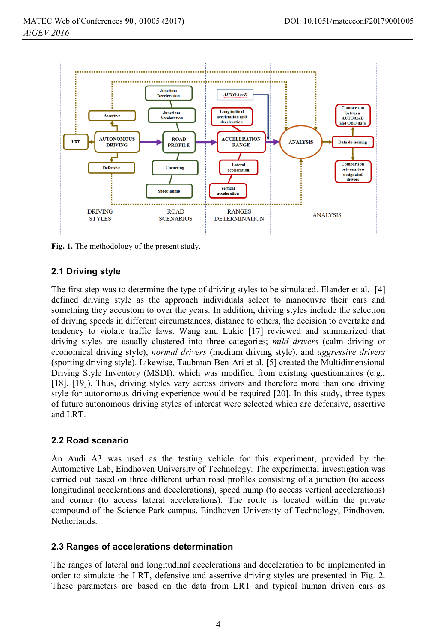

**Fig. 1.** The methodology of the present study.

## **2.1 Driving style**

The first step was to determine the type of driving styles to be simulated. Elander et al. [4] defined driving style as the approach individuals select to manoeuvre their cars and something they accustom to over the years. In addition, driving styles include the selection of driving speeds in different circumstances, distance to others, the decision to overtake and tendency to violate traffic laws. Wang and Lukic [17] reviewed and summarized that driving styles are usually clustered into three categories; *mild drivers* (calm driving or economical driving style), *normal drivers* (medium driving style), and *aggressive drivers* (sporting driving style). Likewise, Taubman-Ben-Ari et al. [5] created the Multidimensional Driving Style Inventory (MSDI), which was modified from existing questionnaires (e.g., [18], [19]). Thus, driving styles vary across drivers and therefore more than one driving style for autonomous driving experience would be required [20]. In this study, three types of future autonomous driving styles of interest were selected which are defensive, assertive and LRT.

#### **2.2 Road scenario**

An Audi A3 was used as the testing vehicle for this experiment, provided by the Automotive Lab, Eindhoven University of Technology. The experimental investigation was carried out based on three different urban road profiles consisting of a junction (to access longitudinal accelerations and decelerations), speed hump (to access vertical accelerations) and corner (to access lateral accelerations). The route is located within the private compound of the Science Park campus, Eindhoven University of Technology, Eindhoven, Netherlands.

#### **2.3 Ranges of accelerations determination**

The ranges of lateral and longitudinal accelerations and deceleration to be implemented in order to simulate the LRT, defensive and assertive driving styles are presented in Fig. 2. These parameters are based on the data from LRT and typical human driven cars as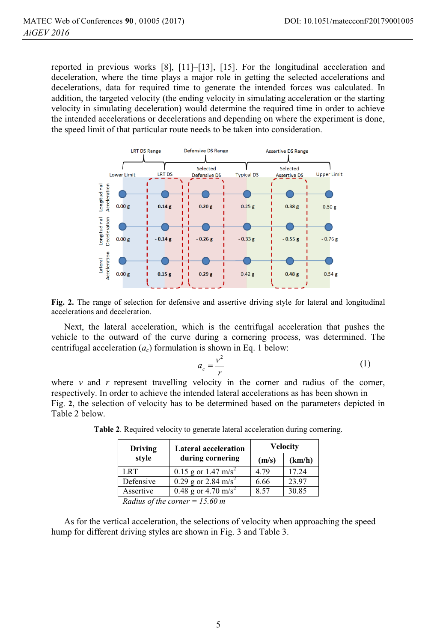reported in previous works [8], [11]–[13], [15]. For the longitudinal acceleration and deceleration, where the time plays a major role in getting the selected accelerations and decelerations, data for required time to generate the intended forces was calculated. In addition, the targeted velocity (the ending velocity in simulating acceleration or the starting velocity in simulating deceleration) would determine the required time in order to achieve the intended accelerations or decelerations and depending on where the experiment is done, the speed limit of that particular route needs to be taken into consideration.



**Fig. 2.** The range of selection for defensive and assertive driving style for lateral and longitudinal accelerations and deceleration.

Next, the lateral acceleration, which is the centrifugal acceleration that pushes the vehicle to the outward of the curve during a cornering process, was determined. The centrifugal acceleration  $(a<sub>c</sub>)$  formulation is shown in Eq. 1 below:

$$
a_c = \frac{v^2}{r} \tag{1}
$$

where  $\nu$  and  $\nu$  represent travelling velocity in the corner and radius of the corner, respectively. In order to achieve the intended lateral accelerations as has been shown in Fig. **2**, the selection of velocity has to be determined based on the parameters depicted in Table 2 below.

| <b>Driving</b> | <b>Lateral acceleration</b>                    | <b>Velocity</b> |        |  |  |
|----------------|------------------------------------------------|-----------------|--------|--|--|
| style          | during cornering                               | (m/s)           | (km/h) |  |  |
| LRT            | $0.15$ g or 1.47 m/s <sup>2</sup>              | 4.79            | 17.24  |  |  |
| Defensive      | 0.29 g or 2.84 m/s <sup>2</sup>                | 6.66            | 23.97  |  |  |
| Assertive      | 0.48 g or 4.70 m/s <sup>2</sup>                | 8.57            | 30.85  |  |  |
|                | $D - 1$ ; $f(1) = 1$ , $f(2) = 1$ , $f(3) = 1$ |                 |        |  |  |

**Table 2**. Required velocity to generate lateral acceleration during cornering.

*Radius of the corner = 15.60 m*

As for the vertical acceleration, the selections of velocity when approaching the speed hump for different driving styles are shown in Fig. 3 and Table 3.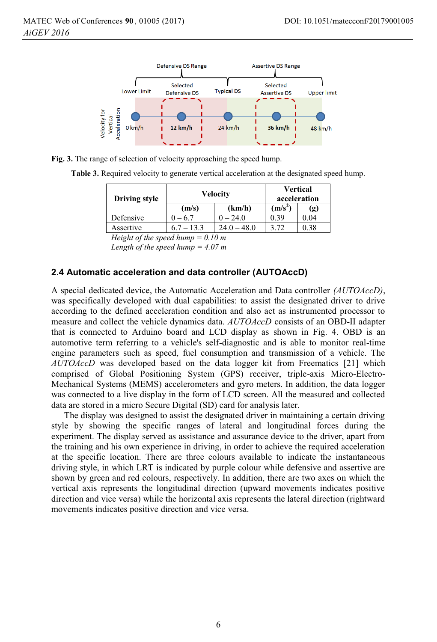

**Fig. 3.** The range of selection of velocity approaching the speed hump.

**Table 3.** Required velocity to generate vertical acceleration at the designated speed hump.

| Driving style |       | Velocity | <b>Vertical</b><br>acceleration |                             |  |
|---------------|-------|----------|---------------------------------|-----------------------------|--|
|               | (m/s) | (km/h)   | $(m/s^2)$                       | $\left( \mathbf{g} \right)$ |  |
| Defensive     | 6.7   | $-24.0$  | 0.39                            | 0.04                        |  |
| Assertive     | 13.3  | 24.0     |                                 | 0.38                        |  |

*Height of the speed hump = 0.10 m*

*Length of the speed hump = 4.07 m*

#### **2.4 Automatic acceleration and data controller (AUTOAccD)**

A special dedicated device, the Automatic Acceleration and Data controller *(AUTOAccD)*, was specifically developed with dual capabilities: to assist the designated driver to drive according to the defined acceleration condition and also act as instrumented processor to measure and collect the vehicle dynamics data. *AUTOAccD* consists of an OBD-II adapter that is connected to Arduino board and LCD display as shown in Fig. 4. OBD is an automotive term referring to a vehicle's self-diagnostic and is able to monitor real-time engine parameters such as speed, fuel consumption and transmission of a vehicle. The *AUTOAccD* was developed based on the data logger kit from Freematics [21] which comprised of Global Positioning System (GPS) receiver, triple-axis Micro-Electro-Mechanical Systems (MEMS) accelerometers and gyro meters. In addition, the data logger was connected to a live display in the form of LCD screen. All the measured and collected data are stored in a micro Secure Digital (SD) card for analysis later.

The display was designed to assist the designated driver in maintaining a certain driving style by showing the specific ranges of lateral and longitudinal forces during the experiment. The display served as assistance and assurance device to the driver, apart from the training and his own experience in driving, in order to achieve the required acceleration at the specific location. There are three colours available to indicate the instantaneous driving style, in which LRT is indicated by purple colour while defensive and assertive are shown by green and red colours, respectively. In addition, there are two axes on which the vertical axis represents the longitudinal direction (upward movements indicates positive direction and vice versa) while the horizontal axis represents the lateral direction (rightward movements indicates positive direction and vice versa.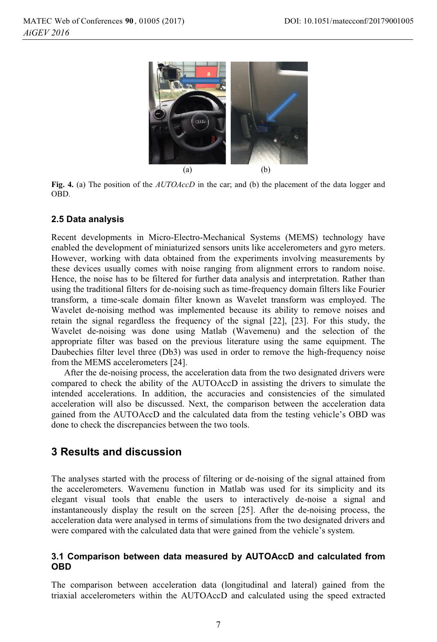

**Fig. 4.** (a) The position of the *AUTOAccD* in the car; and (b) the placement of the data logger and OBD.

## **2.5 Data analysis**

Recent developments in Micro-Electro-Mechanical Systems (MEMS) technology have enabled the development of miniaturized sensors units like accelerometers and gyro meters. However, working with data obtained from the experiments involving measurements by these devices usually comes with noise ranging from alignment errors to random noise. Hence, the noise has to be filtered for further data analysis and interpretation. Rather than using the traditional filters for de-noising such as time-frequency domain filters like Fourier transform, a time-scale domain filter known as Wavelet transform was employed. The Wavelet de-noising method was implemented because its ability to remove noises and retain the signal regardless the frequency of the signal [22], [23]. For this study, the Wavelet de-noising was done using Matlab (Wavemenu) and the selection of the appropriate filter was based on the previous literature using the same equipment. The Daubechies filter level three (Db3) was used in order to remove the high-frequency noise from the MEMS accelerometers [24].

After the de-noising process, the acceleration data from the two designated drivers were compared to check the ability of the AUTOAccD in assisting the drivers to simulate the intended accelerations. In addition, the accuracies and consistencies of the simulated acceleration will also be discussed. Next, the comparison between the acceleration data gained from the AUTOAccD and the calculated data from the testing vehicle's OBD was done to check the discrepancies between the two tools.

# **3 Results and discussion**

The analyses started with the process of filtering or de-noising of the signal attained from the accelerometers. Wavemenu function in Matlab was used for its simplicity and its elegant visual tools that enable the users to interactively de-noise a signal and instantaneously display the result on the screen [25]. After the de-noising process, the acceleration data were analysed in terms of simulations from the two designated drivers and were compared with the calculated data that were gained from the vehicle's system.

### **3.1 Comparison between data measured by AUTOAccD and calculated from OBD**

The comparison between acceleration data (longitudinal and lateral) gained from the triaxial accelerometers within the AUTOAccD and calculated using the speed extracted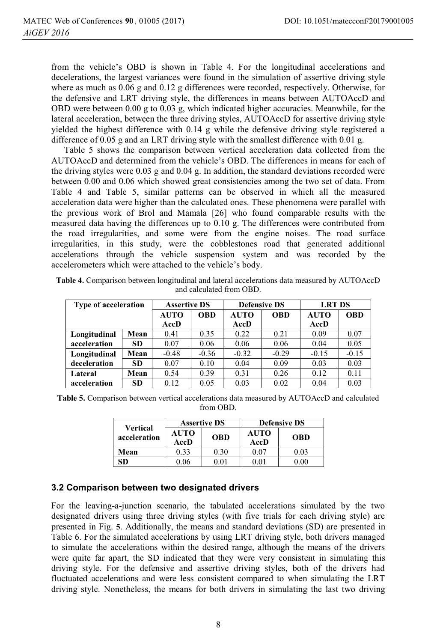from the vehicle's OBD is shown in Table 4. For the longitudinal accelerations and decelerations, the largest variances were found in the simulation of assertive driving style where as much as 0.06 g and 0.12 g differences were recorded, respectively. Otherwise, for the defensive and LRT driving style, the differences in means between AUTOAccD and OBD were between 0.00 g to 0.03 g, which indicated higher accuracies. Meanwhile, for the lateral acceleration, between the three driving styles, AUTOAccD for assertive driving style yielded the highest difference with 0.14 g while the defensive driving style registered a difference of 0.05 g and an LRT driving style with the smallest difference with 0.01 g.

Table 5 shows the comparison between vertical acceleration data collected from the AUTOAccD and determined from the vehicle's OBD. The differences in means for each of the driving styles were 0.03 g and 0.04 g. In addition, the standard deviations recorded were between 0.00 and 0.06 which showed great consistencies among the two set of data. From Table 4 and Table 5, similar patterns can be observed in which all the measured acceleration data were higher than the calculated ones. These phenomena were parallel with the previous work of Brol and Mamala [26] who found comparable results with the measured data having the differences up to 0.10 g. The differences were contributed from the road irregularities, and some were from the engine noises. The road surface irregularities, in this study, were the cobblestones road that generated additional accelerations through the vehicle suspension system and was recorded by the accelerometers which were attached to the vehicle's body.

| <b>Table 4.</b> Comparison between longitudinal and lateral accelerations data measured by AUTOAccD |  |
|-----------------------------------------------------------------------------------------------------|--|
| and calculated from OBD.                                                                            |  |

| Type of acceleration |           | <b>Assertive DS</b> |            | <b>Defensive DS</b> |            | <b>LRT DS</b> |            |
|----------------------|-----------|---------------------|------------|---------------------|------------|---------------|------------|
|                      |           | <b>AUTO</b>         | <b>OBD</b> | <b>AUTO</b>         | <b>OBD</b> | <b>AUTO</b>   | <b>OBD</b> |
|                      |           | AccD                |            | AccD                |            | AccD          |            |
| Longitudinal         | Mean      | 0.41                | 0.35       | 0.22                | 0.21       | 0.09          | 0.07       |
| acceleration         | <b>SD</b> | 0.07                | 0.06       | 0.06                | 0.06       | 0.04          | 0.05       |
| Longitudinal         | Mean      | $-0.48$             | $-0.36$    | $-0.32$             | $-0.29$    | $-0.15$       | $-0.15$    |
| deceleration         | <b>SD</b> | 0.07                | 0.10       | 0.04                | 0.09       | 0.03          | 0.03       |
| Lateral              | Mean      | 0.54                | 0.39       | 0.31                | 0.26       | 0.12          | 0.11       |
| acceleration         | <b>SD</b> | 0.12                | 0.05       | 0.03                | 0.02       | 0.04          | 0.03       |

**Table 5.** Comparison between vertical accelerations data measured by AUTOAccD and calculated from OBD.

| <b>Vertical</b> |                     | <b>Assertive DS</b> | <b>Defensive DS</b> |            |  |
|-----------------|---------------------|---------------------|---------------------|------------|--|
| acceleration    | <b>AUTO</b><br>AccD | <b>OBD</b>          | <b>AUTO</b><br>AccD | <b>OBD</b> |  |
| Mean            | 0.33                | 0.30                | 0.07                | 0.03       |  |
| N7              | 0.06                | በ በ1                | ን በ1                | 00.0       |  |

#### **3.2 Comparison between two designated drivers**

For the leaving-a-junction scenario, the tabulated accelerations simulated by the two designated drivers using three driving styles (with five trials for each driving style) are presented in Fig. **5**. Additionally, the means and standard deviations (SD) are presented in Table 6. For the simulated accelerations by using LRT driving style, both drivers managed to simulate the accelerations within the desired range, although the means of the drivers were quite far apart, the SD indicated that they were very consistent in simulating this driving style. For the defensive and assertive driving styles, both of the drivers had fluctuated accelerations and were less consistent compared to when simulating the LRT driving style. Nonetheless, the means for both drivers in simulating the last two driving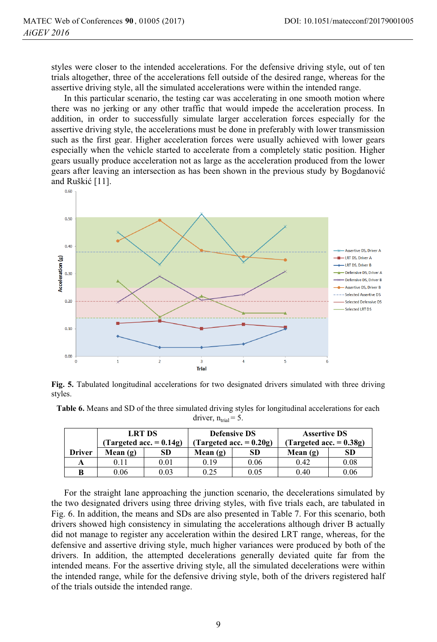styles were closer to the intended accelerations. For the defensive driving style, out of ten trials altogether, three of the accelerations fell outside of the desired range, whereas for the assertive driving style, all the simulated accelerations were within the intended range.

In this particular scenario, the testing car was accelerating in one smooth motion where there was no jerking or any other traffic that would impede the acceleration process. In addition, in order to successfully simulate larger acceleration forces especially for the assertive driving style, the accelerations must be done in preferably with lower transmission such as the first gear. Higher acceleration forces were usually achieved with lower gears especially when the vehicle started to accelerate from a completely static position. Higher gears usually produce acceleration not as large as the acceleration produced from the lower gears after leaving an intersection as has been shown in the previous study by Bogdanović and Ruškić [11].



**Fig. 5.** Tabulated longitudinal accelerations for two designated drivers simulated with three driving styles.

|               | <b>LRT DS</b><br>(Targeted acc. $= 0.14g$ ) |      |            | <b>Defensive DS</b><br>(Targeted acc. $= 0.20g$ ) | <b>Assertive DS</b><br>$(Targeted acc. = 0.38g)$ |      |  |
|---------------|---------------------------------------------|------|------------|---------------------------------------------------|--------------------------------------------------|------|--|
| <b>Driver</b> | Mean $(g)$                                  | SD.  | Mean $(g)$ | SD                                                | Mean $(q)$                                       | SD   |  |
| A             | 0.11                                        | 0.01 | 0.19       | 0.06                                              | 0.42                                             | 0.08 |  |
| В             | 0.06                                        | 0.03 | 0.25       | 0.05                                              | 0.40                                             | 0.06 |  |

**Table 6.** Means and SD of the three simulated driving styles for longitudinal accelerations for each driver,  $n_{trial} = 5$ .

For the straight lane approaching the junction scenario, the decelerations simulated by the two designated drivers using three driving styles, with five trials each, are tabulated in Fig. 6. In addition, the means and SDs are also presented in Table 7. For this scenario, both drivers showed high consistency in simulating the accelerations although driver B actually did not manage to register any acceleration within the desired LRT range, whereas, for the defensive and assertive driving style, much higher variances were produced by both of the drivers. In addition, the attempted decelerations generally deviated quite far from the intended means. For the assertive driving style, all the simulated decelerations were within the intended range, while for the defensive driving style, both of the drivers registered half of the trials outside the intended range.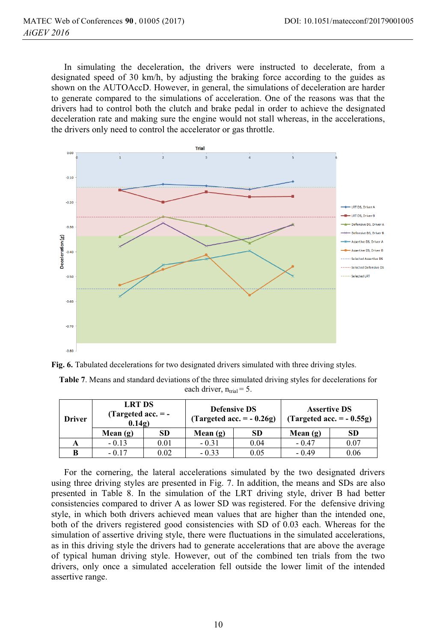In simulating the deceleration, the drivers were instructed to decelerate, from a designated speed of 30 km/h, by adjusting the braking force according to the guides as shown on the AUTOAccD. However, in general, the simulations of deceleration are harder to generate compared to the simulations of acceleration. One of the reasons was that the drivers had to control both the clutch and brake pedal in order to achieve the designated deceleration rate and making sure the engine would not stall whereas, in the accelerations, the drivers only need to control the accelerator or gas throttle.



**Fig. 6.** Tabulated decelerations for two designated drivers simulated with three driving styles.

|  |  |  | <b>Table 7.</b> Means and standard deviations of the three simulated driving styles for decelerations for |  |  |  |
|--|--|--|-----------------------------------------------------------------------------------------------------------|--|--|--|
|  |  |  | each driver, $n_{trial} = 5$ .                                                                            |  |  |  |

| <b>Driver</b> | <b>LRT DS</b><br>(Targeted acc. $=$ -<br>0.14g) |           |            | <b>Defensive DS</b><br>(Targeted acc. $= -0.26g$ ) | <b>Assertive DS</b><br>(Targeted acc. $= -0.55g$ ) |           |  |
|---------------|-------------------------------------------------|-----------|------------|----------------------------------------------------|----------------------------------------------------|-----------|--|
|               | Mean $(g)$                                      | <b>SD</b> | Mean $(g)$ | SD                                                 | Mean $(g)$                                         | <b>SD</b> |  |
| A             | $-0.13$                                         | 0.01      | $-0.31$    | 0.04                                               | $-0.47$                                            | 0.07      |  |
|               | $-0.17$                                         | $0.02\,$  | $-0.33$    | 0.05                                               | $-0.49$                                            | 0.06      |  |

For the cornering, the lateral accelerations simulated by the two designated drivers using three driving styles are presented in Fig. 7. In addition, the means and SDs are also presented in Table 8. In the simulation of the LRT driving style, driver B had better consistencies compared to driver A as lower SD was registered. For the defensive driving style, in which both drivers achieved mean values that are higher than the intended one, both of the drivers registered good consistencies with SD of 0.03 each. Whereas for the simulation of assertive driving style, there were fluctuations in the simulated accelerations, as in this driving style the drivers had to generate accelerations that are above the average of typical human driving style. However, out of the combined ten trials from the two drivers, only once a simulated acceleration fell outside the lower limit of the intended assertive range.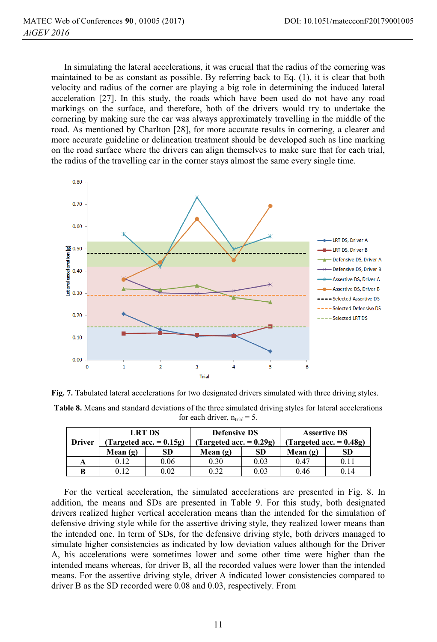In simulating the lateral accelerations, it was crucial that the radius of the cornering was maintained to be as constant as possible. By referring back to Eq. (1), it is clear that both velocity and radius of the corner are playing a big role in determining the induced lateral acceleration [27]. In this study, the roads which have been used do not have any road markings on the surface, and therefore, both of the drivers would try to undertake the cornering by making sure the car was always approximately travelling in the middle of the road. As mentioned by Charlton [28], for more accurate results in cornering, a clearer and more accurate guideline or delineation treatment should be developed such as line marking on the road surface where the drivers can align themselves to make sure that for each trial, the radius of the travelling car in the corner stays almost the same every single time.



**Fig. 7.** Tabulated lateral accelerations for two designated drivers simulated with three driving styles.

| <b>Driver</b> | <b>LRT DS</b><br>(Targeted acc. $= 0.15g$ ) |      | <b>Defensive DS</b><br>(Targeted acc. $= 0.29g$ ) |      | <b>Assertive DS</b><br>(Targeted acc. $= 0.48g$ ) |           |  |
|---------------|---------------------------------------------|------|---------------------------------------------------|------|---------------------------------------------------|-----------|--|
|               | Mean $(g)$                                  | SD.  | Mean $(g)$                                        | SD   | Mean $(g)$                                        | <b>SD</b> |  |
| A             | 0.12                                        | 0.06 | 0.30                                              | 0.03 | 0.47                                              | 0.11      |  |
| В             | 0.12                                        | 0.02 | 0.32                                              | 0.03 | 0.46                                              | 0.14      |  |

**Table 8.** Means and standard deviations of the three simulated driving styles for lateral accelerations for each driver,  $n_{trial} = 5$ .

For the vertical acceleration, the simulated accelerations are presented in Fig. 8. In addition, the means and SDs are presented in Table 9. For this study, both designated drivers realized higher vertical acceleration means than the intended for the simulation of defensive driving style while for the assertive driving style, they realized lower means than the intended one. In term of SDs, for the defensive driving style, both drivers managed to simulate higher consistencies as indicated by low deviation values although for the Driver A, his accelerations were sometimes lower and some other time were higher than the intended means whereas, for driver B, all the recorded values were lower than the intended means. For the assertive driving style, driver A indicated lower consistencies compared to driver B as the SD recorded were 0.08 and 0.03, respectively. From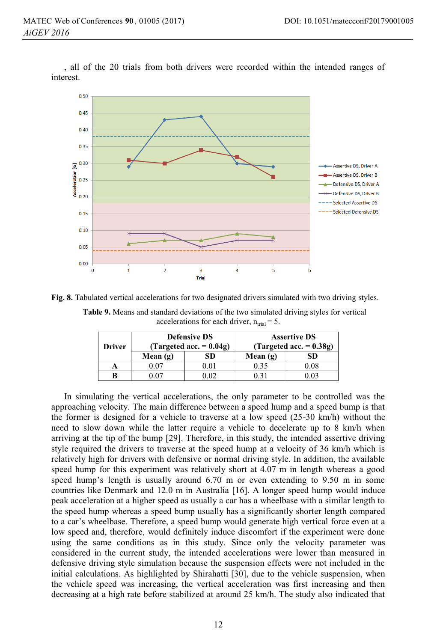

, all of the 20 trials from both drivers were recorded within the intended ranges of interest.

**Fig. 8.** Tabulated vertical accelerations for two designated drivers simulated with two driving styles.

| <b>Table 9.</b> Means and standard deviations of the two simulated driving styles for vertical |  |
|------------------------------------------------------------------------------------------------|--|
| accelerations for each driver, $n_{trial} = 5$ .                                               |  |

| <b>Driver</b> |            | <b>Defensive DS</b><br>(Targeted acc. $= 0.04g$ ) | <b>Assertive DS</b><br>$(Targeted acc. = 0.38g)$ |      |  |
|---------------|------------|---------------------------------------------------|--------------------------------------------------|------|--|
|               | Mean $(g)$ | SD                                                | Mean $(g)$                                       | SD   |  |
|               | ი ი⁊       | 2.01                                              | 0.35                                             | 0.08 |  |
|               | $^{\circ}$ |                                                   |                                                  |      |  |

In simulating the vertical accelerations, the only parameter to be controlled was the approaching velocity. The main difference between a speed hump and a speed bump is that the former is designed for a vehicle to traverse at a low speed (25-30 km/h) without the need to slow down while the latter require a vehicle to decelerate up to 8 km/h when arriving at the tip of the bump [29]. Therefore, in this study, the intended assertive driving style required the drivers to traverse at the speed hump at a velocity of 36 km/h which is relatively high for drivers with defensive or normal driving style. In addition, the available speed hump for this experiment was relatively short at 4.07 m in length whereas a good speed hump's length is usually around 6.70 m or even extending to 9.50 m in some countries like Denmark and 12.0 m in Australia [16]. A longer speed hump would induce peak acceleration at a higher speed as usually a car has a wheelbase with a similar length to the speed hump whereas a speed bump usually has a significantly shorter length compared to a car's wheelbase. Therefore, a speed bump would generate high vertical force even at a low speed and, therefore, would definitely induce discomfort if the experiment were done using the same conditions as in this study. Since only the velocity parameter was considered in the current study, the intended accelerations were lower than measured in defensive driving style simulation because the suspension effects were not included in the initial calculations. As highlighted by Shirahatti [30], due to the vehicle suspension, when the vehicle speed was increasing, the vertical acceleration was first increasing and then decreasing at a high rate before stabilized at around 25 km/h. The study also indicated that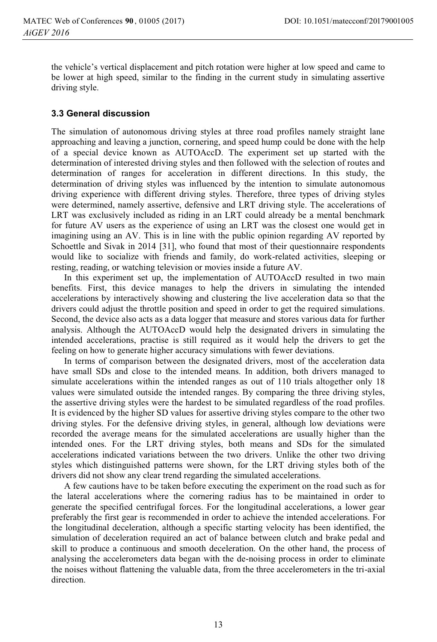the vehicle's vertical displacement and pitch rotation were higher at low speed and came to be lower at high speed, similar to the finding in the current study in simulating assertive driving style.

## **3.3 General discussion**

The simulation of autonomous driving styles at three road profiles namely straight lane approaching and leaving a junction, cornering, and speed hump could be done with the help of a special device known as AUTOAccD. The experiment set up started with the determination of interested driving styles and then followed with the selection of routes and determination of ranges for acceleration in different directions. In this study, the determination of driving styles was influenced by the intention to simulate autonomous driving experience with different driving styles. Therefore, three types of driving styles were determined, namely assertive, defensive and LRT driving style. The accelerations of LRT was exclusively included as riding in an LRT could already be a mental benchmark for future AV users as the experience of using an LRT was the closest one would get in imagining using an AV. This is in line with the public opinion regarding AV reported by Schoettle and Sivak in 2014 [31], who found that most of their questionnaire respondents would like to socialize with friends and family, do work-related activities, sleeping or resting, reading, or watching television or movies inside a future AV.

In this experiment set up, the implementation of AUTOAccD resulted in two main benefits. First, this device manages to help the drivers in simulating the intended accelerations by interactively showing and clustering the live acceleration data so that the drivers could adjust the throttle position and speed in order to get the required simulations. Second, the device also acts as a data logger that measure and stores various data for further analysis. Although the AUTOAccD would help the designated drivers in simulating the intended accelerations, practise is still required as it would help the drivers to get the feeling on how to generate higher accuracy simulations with fewer deviations.

In terms of comparison between the designated drivers, most of the acceleration data have small SDs and close to the intended means. In addition, both drivers managed to simulate accelerations within the intended ranges as out of 110 trials altogether only 18 values were simulated outside the intended ranges. By comparing the three driving styles, the assertive driving styles were the hardest to be simulated regardless of the road profiles. It is evidenced by the higher SD values for assertive driving styles compare to the other two driving styles. For the defensive driving styles, in general, although low deviations were recorded the average means for the simulated accelerations are usually higher than the intended ones. For the LRT driving styles, both means and SDs for the simulated accelerations indicated variations between the two drivers. Unlike the other two driving styles which distinguished patterns were shown, for the LRT driving styles both of the drivers did not show any clear trend regarding the simulated accelerations.

A few cautions have to be taken before executing the experiment on the road such as for the lateral accelerations where the cornering radius has to be maintained in order to generate the specified centrifugal forces. For the longitudinal accelerations, a lower gear preferably the first gear is recommended in order to achieve the intended accelerations. For the longitudinal deceleration, although a specific starting velocity has been identified, the simulation of deceleration required an act of balance between clutch and brake pedal and skill to produce a continuous and smooth deceleration. On the other hand, the process of analysing the accelerometers data began with the de-noising process in order to eliminate the noises without flattening the valuable data, from the three accelerometers in the tri-axial direction.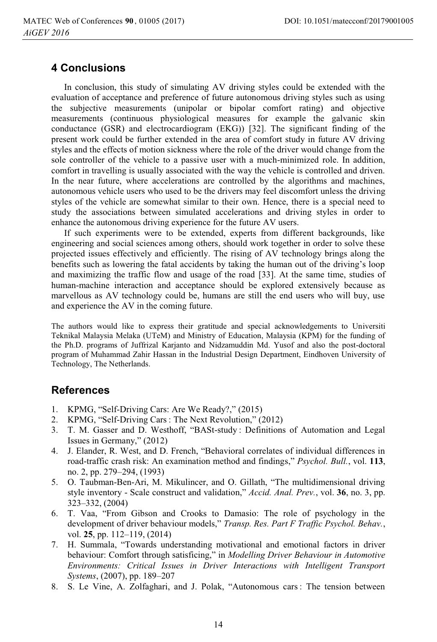# **4 Conclusions**

In conclusion, this study of simulating AV driving styles could be extended with the evaluation of acceptance and preference of future autonomous driving styles such as using the subjective measurements (unipolar or bipolar comfort rating) and objective measurements (continuous physiological measures for example the galvanic skin conductance (GSR) and electrocardiogram (EKG)) [32]. The significant finding of the present work could be further extended in the area of comfort study in future AV driving styles and the effects of motion sickness where the role of the driver would change from the sole controller of the vehicle to a passive user with a much-minimized role. In addition, comfort in travelling is usually associated with the way the vehicle is controlled and driven. In the near future, where accelerations are controlled by the algorithms and machines, autonomous vehicle users who used to be the drivers may feel discomfort unless the driving styles of the vehicle are somewhat similar to their own. Hence, there is a special need to study the associations between simulated accelerations and driving styles in order to enhance the autonomous driving experience for the future AV users.

If such experiments were to be extended, experts from different backgrounds, like engineering and social sciences among others, should work together in order to solve these projected issues effectively and efficiently. The rising of AV technology brings along the benefits such as lowering the fatal accidents by taking the human out of the driving's loop and maximizing the traffic flow and usage of the road [33]. At the same time, studies of human-machine interaction and acceptance should be explored extensively because as marvellous as AV technology could be, humans are still the end users who will buy, use and experience the AV in the coming future.

The authors would like to express their gratitude and special acknowledgements to Universiti Teknikal Malaysia Melaka (UTeM) and Ministry of Education, Malaysia (KPM) for the funding of the Ph.D. programs of Juffrizal Karjanto and Nidzamuddin Md. Yusof and also the post-doctoral program of Muhammad Zahir Hassan in the Industrial Design Department, Eindhoven University of Technology, The Netherlands.

## **References**

- 1. KPMG, "Self-Driving Cars: Are We Ready?," (2015)
- 2. KPMG, "Self-Driving Cars : The Next Revolution," (2012)
- 3. T. M. Gasser and D. Westhoff, "BASt-study : Definitions of Automation and Legal Issues in Germany," (2012)
- 4. J. Elander, R. West, and D. French, "Behavioral correlates of individual differences in road-traffic crash risk: An examination method and findings," *Psychol. Bull.*, vol. **113**, no. 2, pp. 279–294, (1993)
- 5. O. Taubman-Ben-Ari, M. Mikulincer, and O. Gillath, "The multidimensional driving style inventory - Scale construct and validation," *Accid. Anal. Prev.*, vol. **36**, no. 3, pp. 323–332, (2004)
- 6. T. Vaa, "From Gibson and Crooks to Damasio: The role of psychology in the development of driver behaviour models," *Transp. Res. Part F Traffic Psychol. Behav.*, vol. **25**, pp. 112–119, (2014)
- 7. H. Summala, "Towards understanding motivational and emotional factors in driver behaviour: Comfort through satisficing," in *Modelling Driver Behaviour in Automotive Environments: Critical Issues in Driver Interactions with Intelligent Transport Systems*, (2007), pp. 189–207
- 8. S. Le Vine, A. Zolfaghari, and J. Polak, "Autonomous cars : The tension between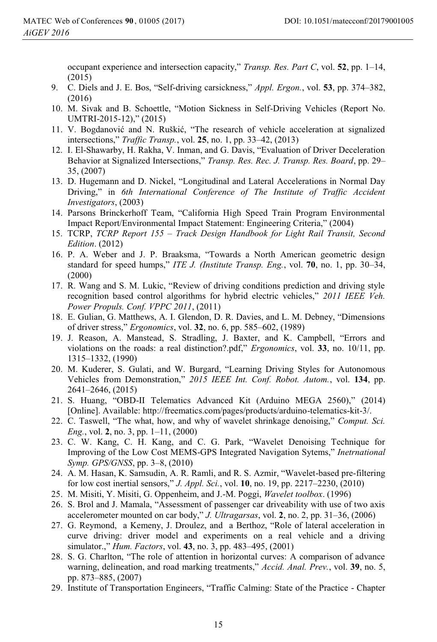occupant experience and intersection capacity," *Transp. Res. Part C*, vol. **52**, pp. 1–14, (2015)

- 9. C. Diels and J. E. Bos, "Self-driving carsickness," *Appl. Ergon.*, vol. **53**, pp. 374–382, (2016)
- 10. M. Sivak and B. Schoettle, "Motion Sickness in Self-Driving Vehicles (Report No. UMTRI-2015-12)," (2015)
- 11. V. Bogdanović and N. Ruškić, "The research of vehicle acceleration at signalized intersections," *Traffic Transp.*, vol. **25**, no. 1, pp. 33–42, (2013)
- 12. I. El-Shawarby, H. Rakha, V. Inman, and G. Davis, "Evaluation of Driver Deceleration Behavior at Signalized Intersections," *Transp. Res. Rec. J. Transp. Res. Board*, pp. 29– 35, (2007)
- 13. D. Hugemann and D. Nickel, "Longitudinal and Lateral Accelerations in Normal Day Driving," in *6th International Conference of The Institute of Traffic Accident Investigators*, (2003)
- 14. Parsons Brinckerhoff Team, "California High Speed Train Program Environmental Impact Report/Environmental Impact Statement: Engineering Criteria," (2004)
- 15. TCRP, *TCRP Report 155 – Track Design Handbook for Light Rail Transit, Second Edition*. (2012)
- 16. P. A. Weber and J. P. Braaksma, "Towards a North American geometric design standard for speed humps," *ITE J. (Institute Transp. Eng.*, vol. **70**, no. 1, pp. 30–34, (2000)
- 17. R. Wang and S. M. Lukic, "Review of driving conditions prediction and driving style recognition based control algorithms for hybrid electric vehicles," *2011 IEEE Veh. Power Propuls. Conf. VPPC 2011*, (2011)
- 18. E. Gulian, G. Matthews, A. I. Glendon, D. R. Davies, and L. M. Debney, "Dimensions of driver stress," *Ergonomics*, vol. **32**, no. 6, pp. 585–602, (1989)
- 19. J. Reason, A. Manstead, S. Stradling, J. Baxter, and K. Campbell, "Errors and violations on the roads: a real distinction?.pdf," *Ergonomics*, vol. **33**, no. 10/11, pp. 1315–1332, (1990)
- 20. M. Kuderer, S. Gulati, and W. Burgard, "Learning Driving Styles for Autonomous Vehicles from Demonstration," *2015 IEEE Int. Conf. Robot. Autom.*, vol. **134**, pp. 2641–2646, (2015)
- 21. S. Huang, "OBD-II Telematics Advanced Kit (Arduino MEGA 2560)," (2014) [Online]. Available: http://freematics.com/pages/products/arduino-telematics-kit-3/.
- 22. C. Taswell, "The what, how, and why of wavelet shrinkage denoising," *Comput. Sci. Eng.*, vol. **2**, no. 3, pp. 1–11, (2000)
- 23. C. W. Kang, C. H. Kang, and C. G. Park, "Wavelet Denoising Technique for Improving of the Low Cost MEMS-GPS Integrated Navigation Sytems," *Inetrnational Symp. GPS/GNSS*, pp. 3–8, (2010)
- 24. A. M. Hasan, K. Samsudin, A. R. Ramli, and R. S. Azmir, "Wavelet-based pre-filtering for low cost inertial sensors," *J. Appl. Sci.*, vol. **10**, no. 19, pp. 2217–2230, (2010)
- 25. M. Misiti, Y. Misiti, G. Oppenheim, and J.-M. Poggi, *Wavelet toolbox*. (1996)
- 26. S. Brol and J. Mamala, "Assessment of passenger car driveability with use of two axis accelerometer mounted on car body," *J. Ultragarsas*, vol. **2**, no. 2, pp. 31–36, (2006)
- 27. G. Reymond, a Kemeny, J. Droulez, and a Berthoz, "Role of lateral acceleration in curve driving: driver model and experiments on a real vehicle and a driving simulator.," *Hum. Factors*, vol. **43**, no. 3, pp. 483–495, (2001)
- 28. S. G. Charlton, "The role of attention in horizontal curves: A comparison of advance warning, delineation, and road marking treatments," *Accid. Anal. Prev.*, vol. **39**, no. 5, pp. 873–885, (2007)
- 29. Institute of Transportation Engineers, "Traffic Calming: State of the Practice Chapter